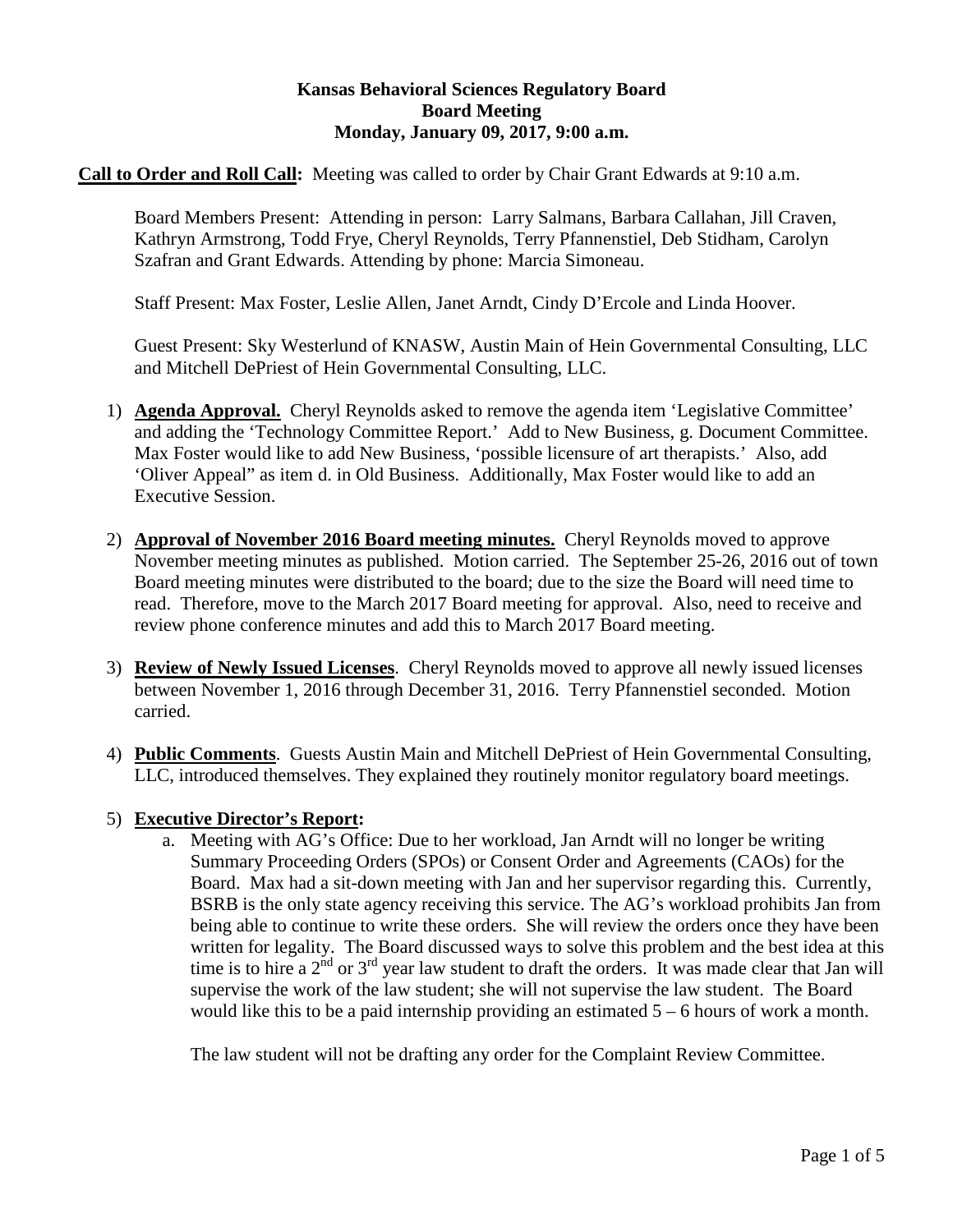## **Kansas Behavioral Sciences Regulatory Board Board Meeting Monday, January 09, 2017, 9:00 a.m.**

**Call to Order and Roll Call:** Meeting was called to order by Chair Grant Edwards at 9:10 a.m.

Board Members Present: Attending in person: Larry Salmans, Barbara Callahan, Jill Craven, Kathryn Armstrong, Todd Frye, Cheryl Reynolds, Terry Pfannenstiel, Deb Stidham, Carolyn Szafran and Grant Edwards. Attending by phone: Marcia Simoneau.

Staff Present: Max Foster, Leslie Allen, Janet Arndt, Cindy D'Ercole and Linda Hoover.

Guest Present: Sky Westerlund of KNASW, Austin Main of Hein Governmental Consulting, LLC and Mitchell DePriest of Hein Governmental Consulting, LLC.

- 1) **Agenda Approval.** Cheryl Reynolds asked to remove the agenda item 'Legislative Committee' and adding the 'Technology Committee Report.' Add to New Business, g. Document Committee. Max Foster would like to add New Business, 'possible licensure of art therapists.' Also, add 'Oliver Appeal" as item d. in Old Business.Additionally, Max Foster would like to add an Executive Session.
- 2) **Approval of November 2016 Board meeting minutes.** Cheryl Reynolds moved to approve November meeting minutes as published. Motion carried. The September 25-26, 2016 out of town Board meeting minutes were distributed to the board; due to the size the Board will need time to read. Therefore, move to the March 2017 Board meeting for approval. Also, need to receive and review phone conference minutes and add this to March 2017 Board meeting.
- 3) **Review of Newly Issued Licenses**. Cheryl Reynolds moved to approve all newly issued licenses between November 1, 2016 through December 31, 2016. Terry Pfannenstiel seconded. Motion carried.
- 4) **Public Comments**.Guests Austin Main and Mitchell DePriest of Hein Governmental Consulting, LLC, introduced themselves. They explained they routinely monitor regulatory board meetings.
- 5) **Executive Director's Report:**
	- a. Meeting with AG's Office: Due to her workload, Jan Arndt will no longer be writing Summary Proceeding Orders (SPOs) or Consent Order and Agreements (CAOs) for the Board. Max had a sit-down meeting with Jan and her supervisor regarding this. Currently, BSRB is the only state agency receiving this service. The AG's workload prohibits Jan from being able to continue to write these orders. She will review the orders once they have been written for legality. The Board discussed ways to solve this problem and the best idea at this time is to hire a  $2^{nd}$  or  $3^{rd}$  year law student to draft the orders. It was made clear that Jan will supervise the work of the law student; she will not supervise the law student. The Board would like this to be a paid internship providing an estimated  $5 - 6$  hours of work a month.

The law student will not be drafting any order for the Complaint Review Committee.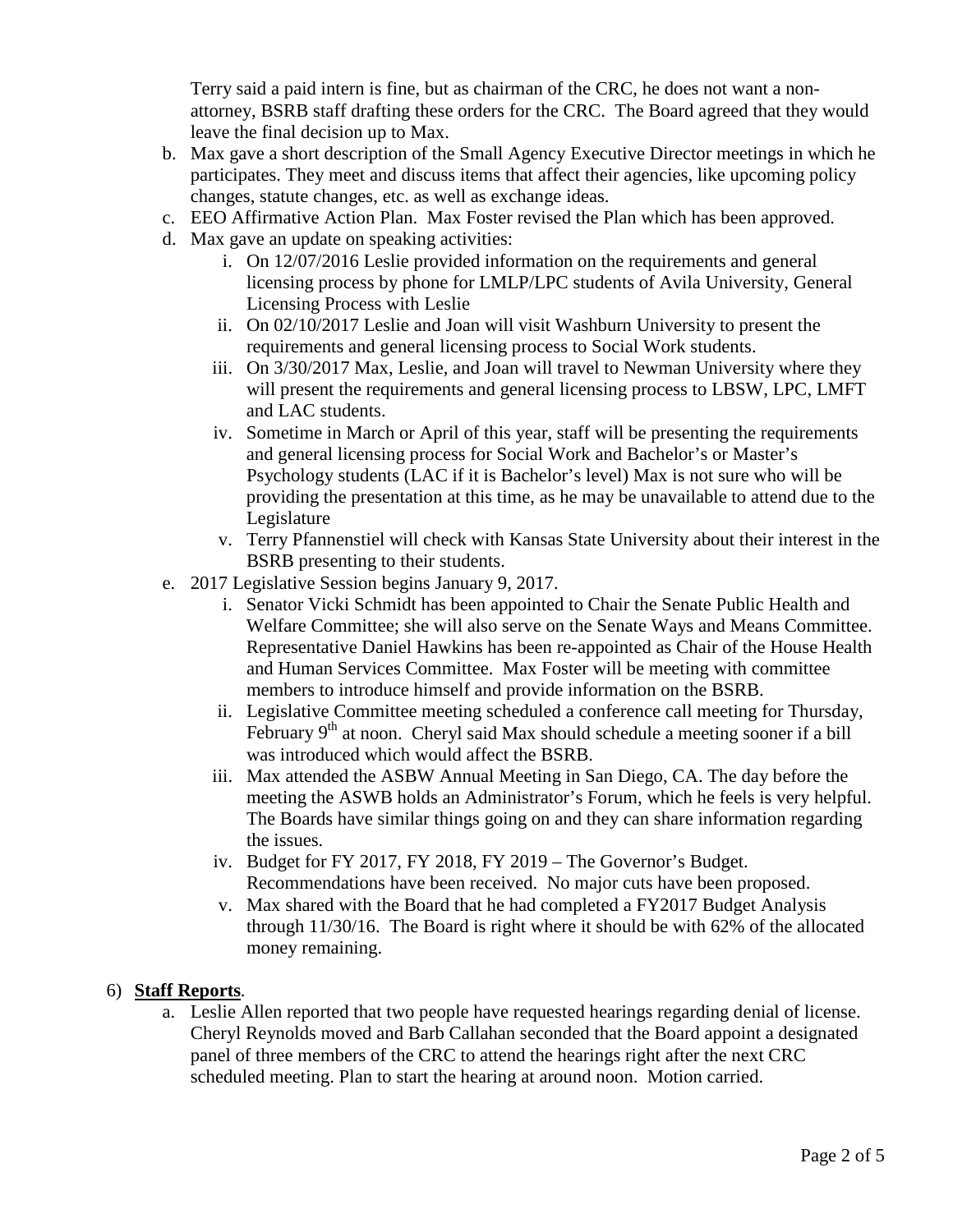Terry said a paid intern is fine, but as chairman of the CRC, he does not want a nonattorney, BSRB staff drafting these orders for the CRC. The Board agreed that they would leave the final decision up to Max.

- b. Max gave a short description of the Small Agency Executive Director meetings in which he participates. They meet and discuss items that affect their agencies, like upcoming policy changes, statute changes, etc. as well as exchange ideas.
- c. EEO Affirmative Action Plan. Max Foster revised the Plan which has been approved.
- d. Max gave an update on speaking activities:
	- i. On 12/07/2016 Leslie provided information on the requirements and general licensing process by phone for LMLP/LPC students of Avila University, General Licensing Process with Leslie
	- ii. On 02/10/2017 Leslie and Joan will visit Washburn University to present the requirements and general licensing process to Social Work students.
	- iii. On 3/30/2017 Max, Leslie, and Joan will travel to Newman University where they will present the requirements and general licensing process to LBSW, LPC, LMFT and LAC students.
	- iv. Sometime in March or April of this year, staff will be presenting the requirements and general licensing process for Social Work and Bachelor's or Master's Psychology students (LAC if it is Bachelor's level) Max is not sure who will be providing the presentation at this time, as he may be unavailable to attend due to the Legislature
	- v. Terry Pfannenstiel will check with Kansas State University about their interest in the BSRB presenting to their students.
- e. 2017 Legislative Session begins January 9, 2017.
	- i. Senator Vicki Schmidt has been appointed to Chair the Senate Public Health and Welfare Committee; she will also serve on the Senate Ways and Means Committee. Representative Daniel Hawkins has been re-appointed as Chair of the House Health and Human Services Committee. Max Foster will be meeting with committee members to introduce himself and provide information on the BSRB.
	- ii. Legislative Committee meeting scheduled a conference call meeting for Thursday, February  $9<sup>th</sup>$  at noon. Cheryl said Max should schedule a meeting sooner if a bill was introduced which would affect the BSRB.
	- iii. Max attended the ASBW Annual Meeting in San Diego, CA. The day before the meeting the ASWB holds an Administrator's Forum, which he feels is very helpful. The Boards have similar things going on and they can share information regarding the issues.
	- iv. Budget for FY 2017, FY 2018, FY 2019 The Governor's Budget. Recommendations have been received. No major cuts have been proposed.
	- v. Max shared with the Board that he had completed a FY2017 Budget Analysis through 11/30/16. The Board is right where it should be with 62% of the allocated money remaining.

# 6) **Staff Reports**.

a. Leslie Allen reported that two people have requested hearings regarding denial of license. Cheryl Reynolds moved and Barb Callahan seconded that the Board appoint a designated panel of three members of the CRC to attend the hearings right after the next CRC scheduled meeting. Plan to start the hearing at around noon. Motion carried.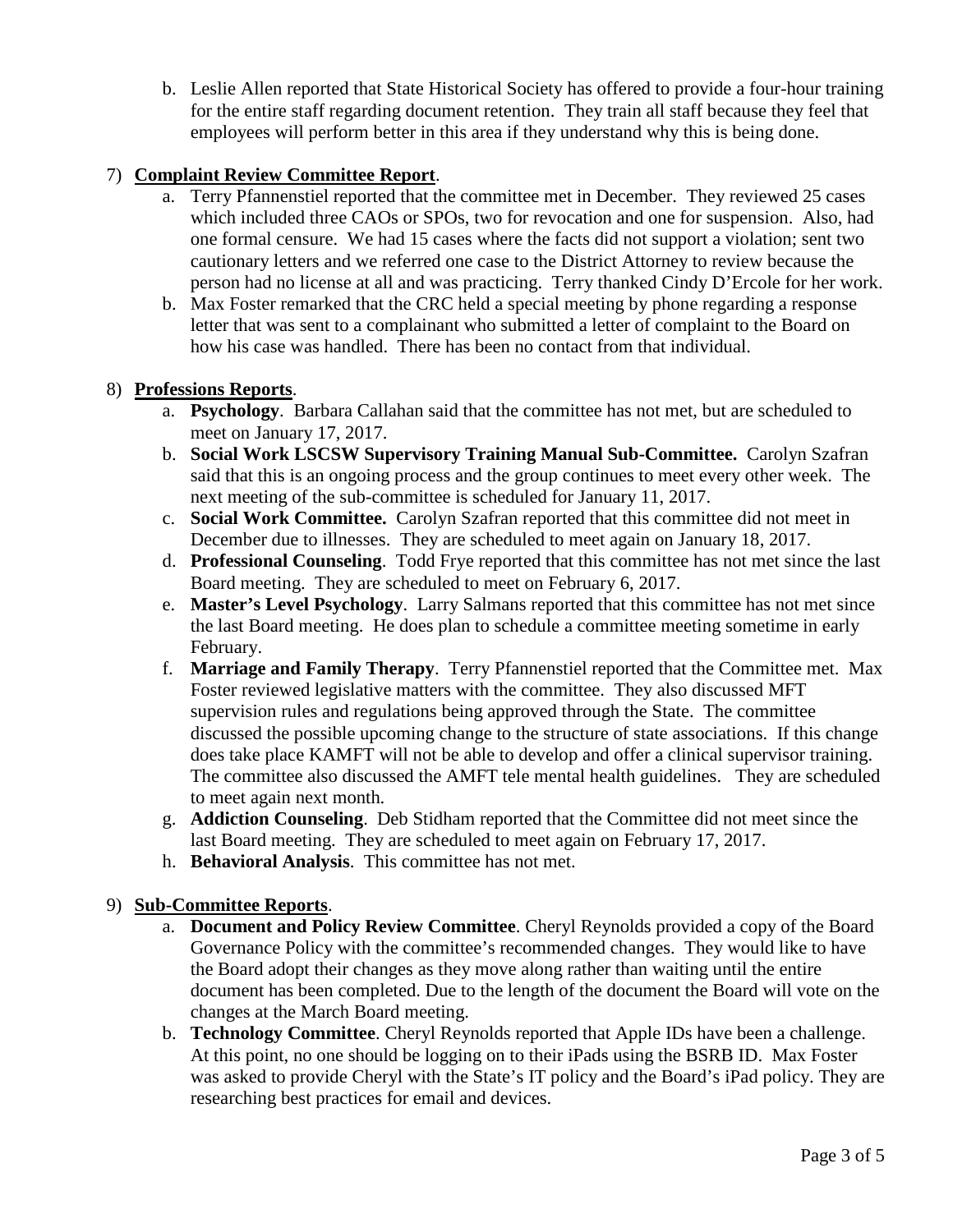b. Leslie Allen reported that State Historical Society has offered to provide a four-hour training for the entire staff regarding document retention. They train all staff because they feel that employees will perform better in this area if they understand why this is being done.

# 7) **Complaint Review Committee Report**.

- a. Terry Pfannenstiel reported that the committee met in December. They reviewed 25 cases which included three CAOs or SPOs, two for revocation and one for suspension. Also, had one formal censure. We had 15 cases where the facts did not support a violation; sent two cautionary letters and we referred one case to the District Attorney to review because the person had no license at all and was practicing. Terry thanked Cindy D'Ercole for her work.
- b. Max Foster remarked that the CRC held a special meeting by phone regarding a response letter that was sent to a complainant who submitted a letter of complaint to the Board on how his case was handled. There has been no contact from that individual.

### 8) **Professions Reports**.

- a. **Psychology**. Barbara Callahan said that the committee has not met, but are scheduled to meet on January 17, 2017.
- b. **Social Work LSCSW Supervisory Training Manual Sub-Committee.** Carolyn Szafran said that this is an ongoing process and the group continues to meet every other week. The next meeting of the sub-committee is scheduled for January 11, 2017.
- c. **Social Work Committee.** Carolyn Szafran reported that this committee did not meet in December due to illnesses. They are scheduled to meet again on January 18, 2017.
- d. **Professional Counseling**. Todd Frye reported that this committee has not met since the last Board meeting. They are scheduled to meet on February 6, 2017.
- e. **Master's Level Psychology**. Larry Salmans reported that this committee has not met since the last Board meeting. He does plan to schedule a committee meeting sometime in early February.
- f. **Marriage and Family Therapy**. Terry Pfannenstiel reported that the Committee met. Max Foster reviewed legislative matters with the committee. They also discussed MFT supervision rules and regulations being approved through the State. The committee discussed the possible upcoming change to the structure of state associations. If this change does take place KAMFT will not be able to develop and offer a clinical supervisor training. The committee also discussed the AMFT tele mental health guidelines. They are scheduled to meet again next month.
- g. **Addiction Counseling**. Deb Stidham reported that the Committee did not meet since the last Board meeting. They are scheduled to meet again on February 17, 2017.
- h. **Behavioral Analysis**. This committee has not met.

# 9) **Sub-Committee Reports**.

- a. **Document and Policy Review Committee**. Cheryl Reynolds provided a copy of the Board Governance Policy with the committee's recommended changes. They would like to have the Board adopt their changes as they move along rather than waiting until the entire document has been completed. Due to the length of the document the Board will vote on the changes at the March Board meeting.
- b. **Technology Committee**. Cheryl Reynolds reported that Apple IDs have been a challenge. At this point, no one should be logging on to their iPads using the BSRB ID. Max Foster was asked to provide Cheryl with the State's IT policy and the Board's iPad policy. They are researching best practices for email and devices.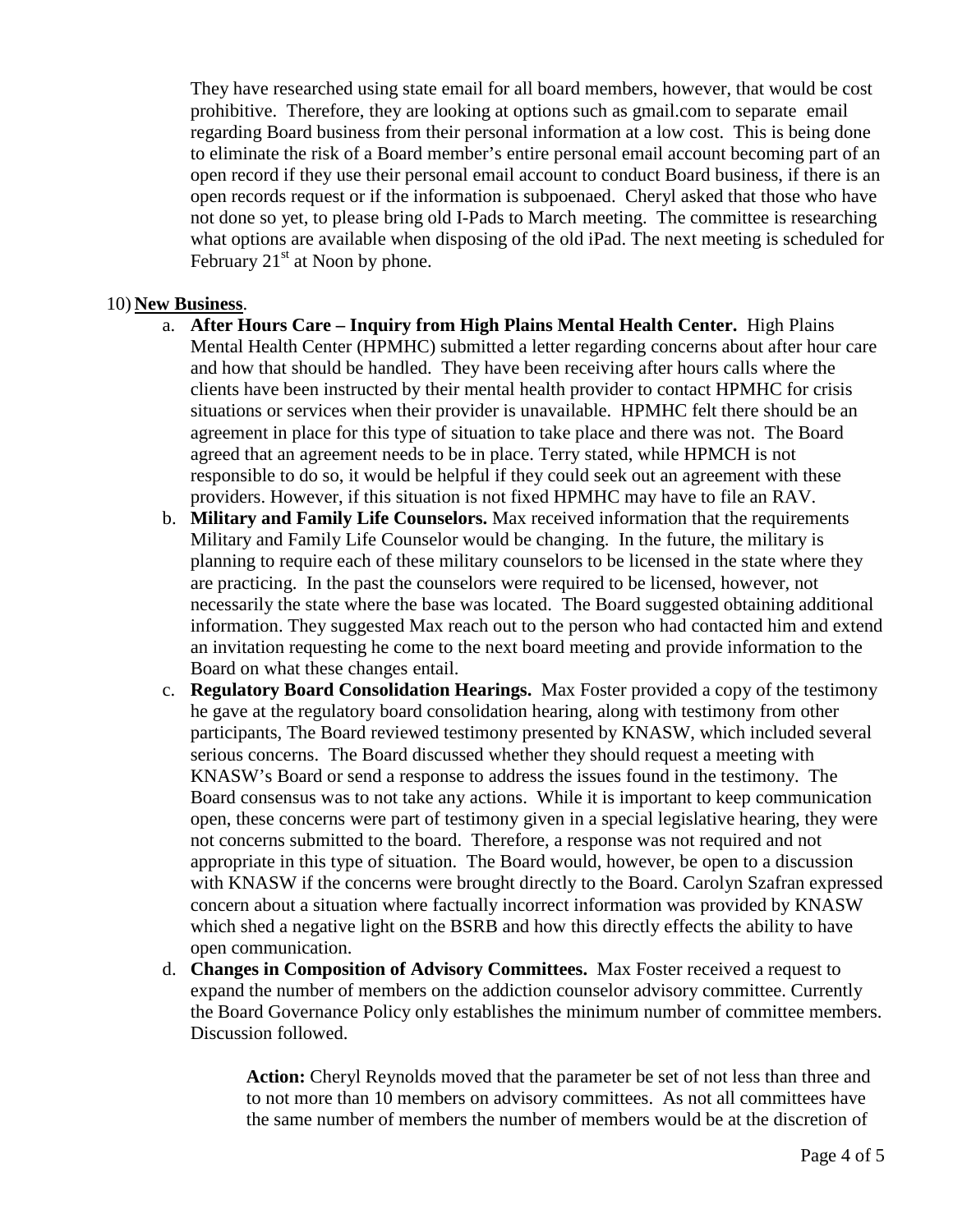They have researched using state email for all board members, however, that would be cost prohibitive. Therefore, they are looking at options such as gmail.com to separate email regarding Board business from their personal information at a low cost. This is being done to eliminate the risk of a Board member's entire personal email account becoming part of an open record if they use their personal email account to conduct Board business, if there is an open records request or if the information is subpoenaed. Cheryl asked that those who have not done so yet, to please bring old I-Pads to March meeting. The committee is researching what options are available when disposing of the old iPad. The next meeting is scheduled for February  $21<sup>st</sup>$  at Noon by phone.

#### 10) **New Business**.

- a. **After Hours Care – Inquiry from High Plains Mental Health Center.** High Plains Mental Health Center (HPMHC) submitted a letter regarding concerns about after hour care and how that should be handled. They have been receiving after hours calls where the clients have been instructed by their mental health provider to contact HPMHC for crisis situations or services when their provider is unavailable. HPMHC felt there should be an agreement in place for this type of situation to take place and there was not. The Board agreed that an agreement needs to be in place. Terry stated, while HPMCH is not responsible to do so, it would be helpful if they could seek out an agreement with these providers. However, if this situation is not fixed HPMHC may have to file an RAV.
- b. **Military and Family Life Counselors.** Max received information that the requirements Military and Family Life Counselor would be changing. In the future, the military is planning to require each of these military counselors to be licensed in the state where they are practicing. In the past the counselors were required to be licensed, however, not necessarily the state where the base was located. The Board suggested obtaining additional information. They suggested Max reach out to the person who had contacted him and extend an invitation requesting he come to the next board meeting and provide information to the Board on what these changes entail.
- c. **Regulatory Board Consolidation Hearings.** Max Foster provided a copy of the testimony he gave at the regulatory board consolidation hearing, along with testimony from other participants, The Board reviewed testimony presented by KNASW, which included several serious concerns. The Board discussed whether they should request a meeting with KNASW's Board or send a response to address the issues found in the testimony. The Board consensus was to not take any actions. While it is important to keep communication open, these concerns were part of testimony given in a special legislative hearing, they were not concerns submitted to the board. Therefore, a response was not required and not appropriate in this type of situation. The Board would, however, be open to a discussion with KNASW if the concerns were brought directly to the Board. Carolyn Szafran expressed concern about a situation where factually incorrect information was provided by KNASW which shed a negative light on the BSRB and how this directly effects the ability to have open communication.
- d. **Changes in Composition of Advisory Committees.** Max Foster received a request to expand the number of members on the addiction counselor advisory committee. Currently the Board Governance Policy only establishes the minimum number of committee members. Discussion followed.

**Action:** Cheryl Reynolds moved that the parameter be set of not less than three and to not more than 10 members on advisory committees. As not all committees have the same number of members the number of members would be at the discretion of